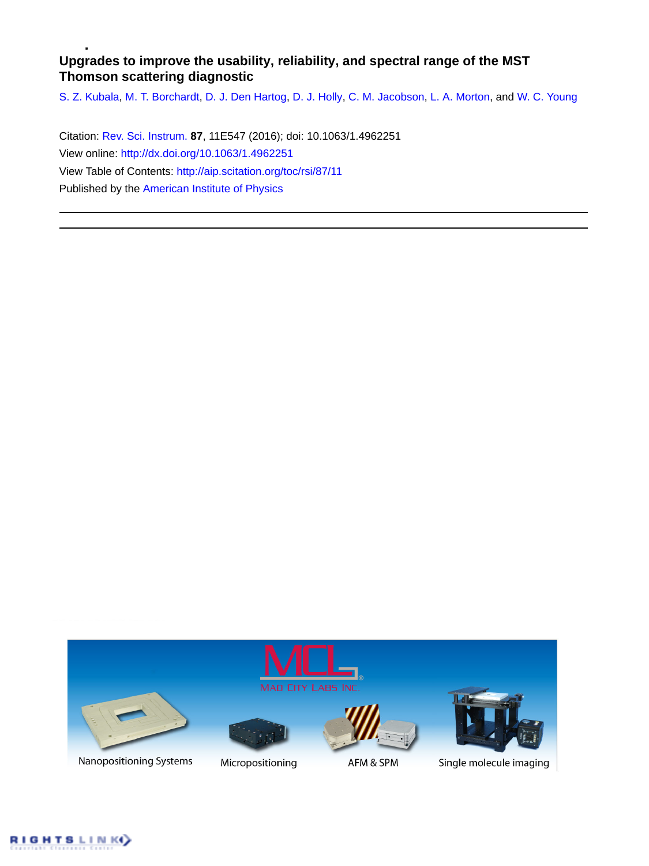# **Upgrades to improve the usability, reliability, and spectral range of the MST Thomson scattering diagnostic**

[S. Z. Kubala](http://aip.scitation.org/author/Kubala%2C+S+Z), [M. T. Borchardt](http://aip.scitation.org/author/Borchardt%2C+M+T), [D. J. Den Hartog](http://aip.scitation.org/author/den+Hartog%2C+D+J), [D. J. Holly](http://aip.scitation.org/author/Holly%2C+D+J), [C. M. Jacobson](http://aip.scitation.org/author/Jacobson%2C+C+M), [L. A. Morton](http://aip.scitation.org/author/Morton%2C+L+A), and [W. C. Young](http://aip.scitation.org/author/Young%2C+W+C)

Citation: [Rev. Sci. Instrum.](/loi/rsi) **87**, 11E547 (2016); doi: 10.1063/1.4962251 View online: <http://dx.doi.org/10.1063/1.4962251> View Table of Contents: <http://aip.scitation.org/toc/rsi/87/11> Published by the [American Institute of Physics](http://aip.scitation.org/publisher/)



Nanopositioning Systems





Micropositioning

AFM & SPM



Single molecule imaging

**IGHTSLINK**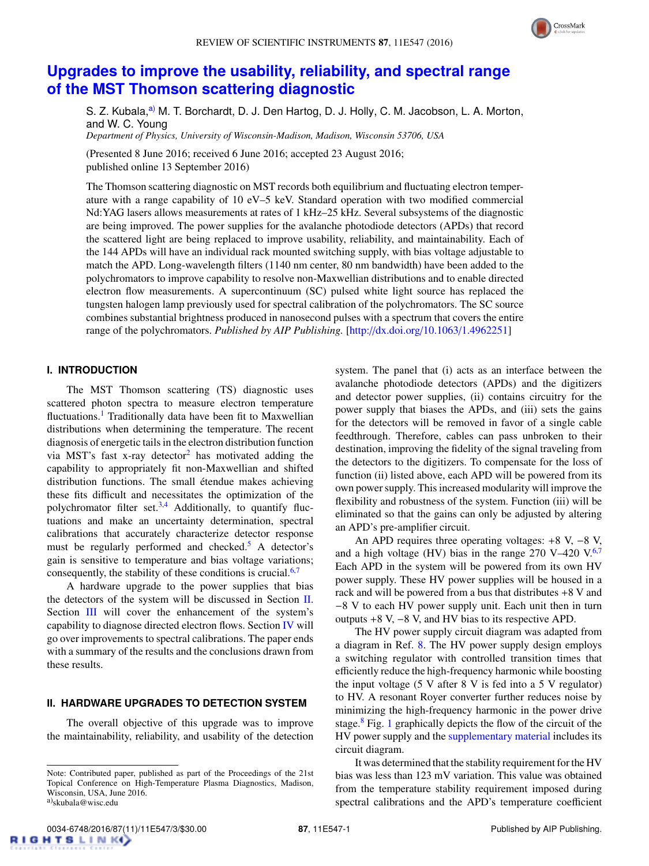

# **[Upgrades to improve the usability, reliability, and spectral range](http://dx.doi.org/10.1063/1.4962251) [of the MST Thomson scattering diagnostic](http://dx.doi.org/10.1063/1.4962251)**

S. Z. Kubala,<sup>[a\)](#page-1-0)</sup> M. T. Borchardt, D. J. Den Hartog, D. J. Holly, C. M. Jacobson, L. A. Morton, and W. C. Young *Department of Physics, University of Wisconsin-Madison, Madison, Wisconsin 53706, USA*

(Presented 8 June 2016; received 6 June 2016; accepted 23 August 2016; published online 13 September 2016)

The Thomson scattering diagnostic on MST records both equilibrium and fluctuating electron temperature with a range capability of 10 eV–5 keV. Standard operation with two modified commercial Nd:YAG lasers allows measurements at rates of 1 kHz–25 kHz. Several subsystems of the diagnostic are being improved. The power supplies for the avalanche photodiode detectors (APDs) that record the scattered light are being replaced to improve usability, reliability, and maintainability. Each of the 144 APDs will have an individual rack mounted switching supply, with bias voltage adjustable to match the APD. Long-wavelength filters (1140 nm center, 80 nm bandwidth) have been added to the polychromators to improve capability to resolve non-Maxwellian distributions and to enable directed electron flow measurements. A supercontinuum (SC) pulsed white light source has replaced the tungsten halogen lamp previously used for spectral calibration of the polychromators. The SC source combines substantial brightness produced in nanosecond pulses with a spectrum that covers the entire range of the polychromators. *Published by AIP Publishing.* [\[http:](http://dx.doi.org/10.1063/1.4962251)//[dx.doi.org](http://dx.doi.org/10.1063/1.4962251)/[10.1063](http://dx.doi.org/10.1063/1.4962251)/[1.4962251\]](http://dx.doi.org/10.1063/1.4962251)

### **I. INTRODUCTION**

The MST Thomson scattering (TS) diagnostic uses scattered photon spectra to measure electron temperature fluctuations.<sup>[1](#page-3-0)</sup> Traditionally data have been fit to Maxwellian distributions when determining the temperature. The recent diagnosis of energetic tails in the electron distribution function via MST's fast x-ray detector<sup>[2](#page-3-1)</sup> has motivated adding the capability to appropriately fit non-Maxwellian and shifted distribution functions. The small étendue makes achieving these fits difficult and necessitates the optimization of the polychromator filter set.<sup>[3](#page-3-2)[,4](#page-3-3)</sup> Additionally, to quantify fluctuations and make an uncertainty determination, spectral calibrations that accurately characterize detector response must be regularly performed and checked.<sup>[5](#page-3-4)</sup> A detector's gain is sensitive to temperature and bias voltage variations; consequently, the stability of these conditions is crucial. $6,7$  $6,7$ 

A hardware upgrade to the power supplies that bias the detectors of the system will be discussed in Section [II.](#page-1-1) Section [III](#page-2-0) will cover the enhancement of the system's capability to diagnose directed electron flows. Section [IV](#page-3-7) will go over improvements to spectral calibrations. The paper ends with a summary of the results and the conclusions drawn from these results.

### <span id="page-1-1"></span>**II. HARDWARE UPGRADES TO DETECTION SYSTEM**

The overall objective of this upgrade was to improve the maintainability, reliability, and usability of the detection

system. The panel that (i) acts as an interface between the avalanche photodiode detectors (APDs) and the digitizers and detector power supplies, (ii) contains circuitry for the power supply that biases the APDs, and (iii) sets the gains for the detectors will be removed in favor of a single cable feedthrough. Therefore, cables can pass unbroken to their destination, improving the fidelity of the signal traveling from the detectors to the digitizers. To compensate for the loss of function (ii) listed above, each APD will be powered from its own power supply. This increased modularity will improve the flexibility and robustness of the system. Function (iii) will be eliminated so that the gains can only be adjusted by altering an APD's pre-amplifier circuit.

An APD requires three operating voltages: +8 V, −8 V, and a high voltage (HV) bias in the range 2[7](#page-3-6)0 V-420 V. $6,7$  $6,7$ Each APD in the system will be powered from its own HV power supply. These HV power supplies will be housed in a rack and will be powered from a bus that distributes  $+8$  V and −8 V to each HV power supply unit. Each unit then in turn outputs +8 V, −8 V, and HV bias to its respective APD.

The HV power supply circuit diagram was adapted from a diagram in Ref. [8.](#page-3-8) The HV power supply design employs a switching regulator with controlled transition times that efficiently reduce the high-frequency harmonic while boosting the input voltage (5 V after 8 V is fed into a 5 V regulator) to HV. A resonant Royer converter further reduces noise by minimizing the high-frequency harmonic in the power drive stage.<sup>[8](#page-3-8)</sup> Fig. [1](#page-2-1) graphically depicts the flow of the circuit of the HV power supply and the [supplementary material](ftp://ftp.aip.org/epaps/rev_sci_instrum/E-RSINAK-87-274693) includes its circuit diagram.

It was determined that the stability requirement for the HV bias was less than 123 mV variation. This value was obtained from the temperature stability requirement imposed during spectral calibrations and the APD's temperature coefficient

<span id="page-1-0"></span>Note: Contributed paper, published as part of the Proceedings of the 21st Topical Conference on High-Temperature Plasma Diagnostics, Madison, Wisconsin, USA, June 2016. <sup>a)</sup>skubala@wisc.edu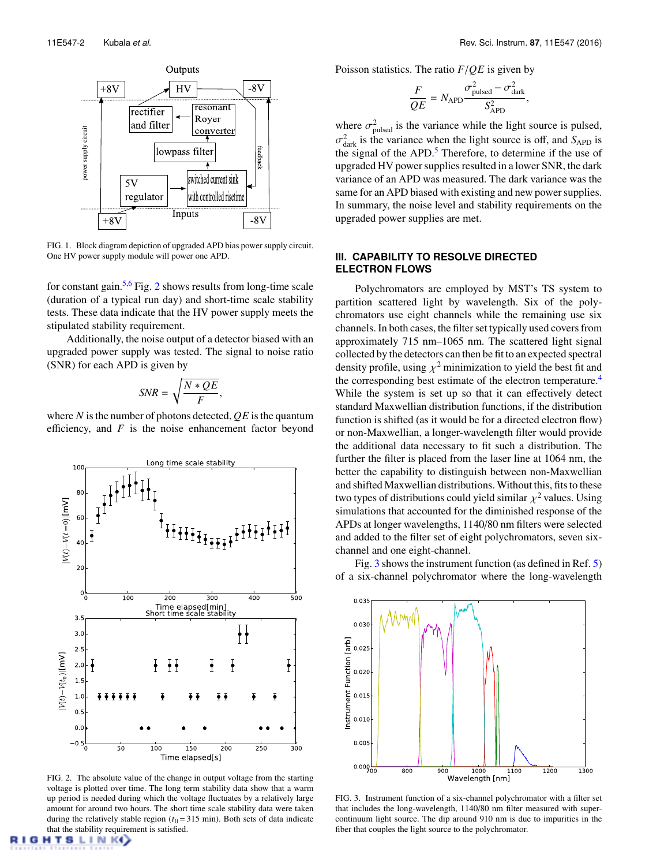<span id="page-2-1"></span>

FIG. 1. Block diagram depiction of upgraded APD bias power supply circuit. One HV power supply module will power one APD.

for constant gain.<sup>[5](#page-3-4)[,6](#page-3-5)</sup> Fig. [2](#page-2-2) shows results from long-time scale (duration of a typical run day) and short-time scale stability tests. These data indicate that the HV power supply meets the stipulated stability requirement.

Additionally, the noise output of a detector biased with an upgraded power supply was tested. The signal to noise ratio (SNR) for each APD is given by

$$
SNR = \sqrt{\frac{N * QE}{F}},
$$

where *N* is the number of photons detected, *QE* is the quantum efficiency, and *F* is the noise enhancement factor beyond

<span id="page-2-2"></span>

FIG. 2. The absolute value of the change in output voltage from the starting voltage is plotted over time. The long term stability data show that a warm up period is needed during which the voltage fluctuates by a relatively large amount for around two hours. The short time scale stability data were taken during the relatively stable region  $(t_0 = 315 \text{ min})$ . Both sets of data indicate that the stability requirement is satisfied.

Poisson statistics. The ratio *<sup>F</sup>*/*QE* is given by

$$
\frac{F}{QE} = N_{\rm APD} \frac{\sigma_{\rm pulsed}^2 - \sigma_{\rm dark}^2}{S_{\rm APD}^2},
$$

where  $\sigma_{\text{pulsed}}^2$  is the variance while the light source is pulsed, σ the signal of the APD.[5](#page-3-4) Therefore, to determine if the use of  $\frac{2}{\text{dark}}$  is the variance when the light source is off, and  $S_{\text{APD}}$  is upgraded HV power supplies resulted in a lower SNR, the dark variance of an APD was measured. The dark variance was the same for an APD biased with existing and new power supplies. In summary, the noise level and stability requirements on the upgraded power supplies are met.

#### <span id="page-2-0"></span>**III. CAPABILITY TO RESOLVE DIRECTED ELECTRON FLOWS**

Polychromators are employed by MST's TS system to partition scattered light by wavelength. Six of the polychromators use eight channels while the remaining use six channels. In both cases, the filter set typically used covers from approximately 715 nm–1065 nm. The scattered light signal collected by the detectors can then be fit to an expected spectral density profile, using  $\chi^2$  minimization to yield the best fit and<br>the corresponding best estimate of the electron temperature.<sup>4</sup> the corresponding best estimate of the electron temperature.<sup>[4](#page-3-3)</sup> While the system is set up so that it can effectively detect standard Maxwellian distribution functions, if the distribution function is shifted (as it would be for a directed electron flow) or non-Maxwellian, a longer-wavelength filter would provide the additional data necessary to fit such a distribution. The further the filter is placed from the laser line at 1064 nm, the better the capability to distinguish between non-Maxwellian and shifted Maxwellian distributions. Without this, fits to these two types of distributions could yield similar  $\chi^2$  values. Using simulations that accounted for the diminished response of the simulations that accounted for the diminished response of the APDs at longer wavelengths, 1140/80 nm filters were selected and added to the filter set of eight polychromators, seven sixchannel and one eight-channel.

Fig. [3](#page-2-3) shows the instrument function (as defined in Ref. [5\)](#page-3-4) of a six-channel polychromator where the long-wavelength

<span id="page-2-3"></span>

FIG. 3. Instrument function of a six-channel polychromator with a filter set that includes the long-wavelength, 1140/80 nm filter measured with supercontinuum light source. The dip around 910 nm is due to impurities in the fiber that couples the light source to the polychromator.